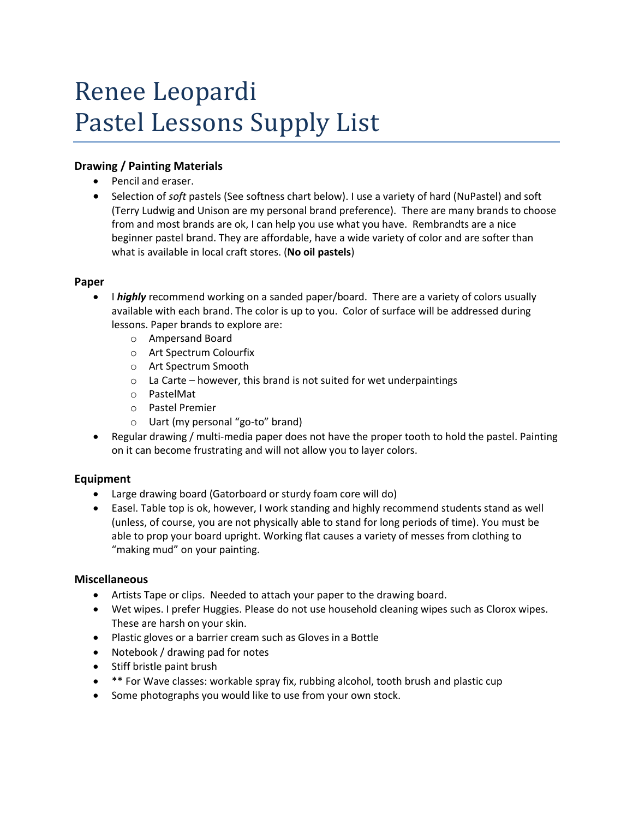# Renee Leopardi Pastel Lessons Supply List

## **Drawing / Painting Materials**

- Pencil and eraser.
- Selection of *soft* pastels (See softness chart below). I use a variety of hard (NuPastel) and soft (Terry Ludwig and Unison are my personal brand preference). There are many brands to choose from and most brands are ok, I can help you use what you have. Rembrandts are a nice beginner pastel brand. They are affordable, have a wide variety of color and are softer than what is available in local craft stores. (**No oil pastels**)

## **Paper**

- I *highly* recommend working on a sanded paper/board. There are a variety of colors usually available with each brand. The color is up to you. Color of surface will be addressed during lessons. Paper brands to explore are:
	- o Ampersand Board
	- o Art Spectrum Colourfix
	- o Art Spectrum Smooth
	- $\circ$  La Carte however, this brand is not suited for wet underpaintings
	- o PastelMat
	- o Pastel Premier
	- o Uart (my personal "go-to" brand)
- Regular drawing / multi-media paper does not have the proper tooth to hold the pastel. Painting on it can become frustrating and will not allow you to layer colors.

## **Equipment**

- Large drawing board (Gatorboard or sturdy foam core will do)
- Easel. Table top is ok, however, I work standing and highly recommend students stand as well (unless, of course, you are not physically able to stand for long periods of time). You must be able to prop your board upright. Working flat causes a variety of messes from clothing to "making mud" on your painting.

#### **Miscellaneous**

- Artists Tape or clips. Needed to attach your paper to the drawing board.
- Wet wipes. I prefer Huggies. Please do not use household cleaning wipes such as Clorox wipes. These are harsh on your skin.
- Plastic gloves or a barrier cream such as Gloves in a Bottle
- Notebook / drawing pad for notes
- Stiff bristle paint brush
- \*\* For Wave classes: workable spray fix, rubbing alcohol, tooth brush and plastic cup
- Some photographs you would like to use from your own stock.